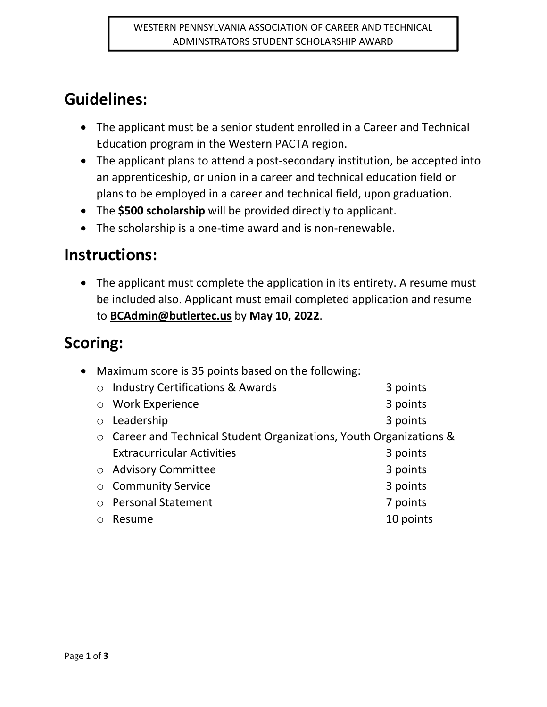# **Guidelines:**

- The applicant must be a senior student enrolled in a Career and Technical Education program in the Western PACTA region.
- The applicant plans to attend a post-secondary institution, be accepted into an apprenticeship, or union in a career and technical education field or plans to be employed in a career and technical field, upon graduation.
- The **\$500 scholarship** will be provided directly to applicant.
- The scholarship is a one-time award and is non-renewable.

## **Instructions:**

 The applicant must complete the application in its entirety. A resume must be included also. Applicant must email completed application and resume to **BCAdmin@butlertec.us** by **May 10, 2022**.

# **Scoring:**

| • Maximum score is 35 points based on the following: |                                                                   |           |
|------------------------------------------------------|-------------------------------------------------------------------|-----------|
| $\circ$                                              | <b>Industry Certifications &amp; Awards</b>                       | 3 points  |
| $\circ$                                              | <b>Work Experience</b>                                            | 3 points  |
| $\circ$                                              | Leadership                                                        | 3 points  |
| $\circ$                                              | Career and Technical Student Organizations, Youth Organizations & |           |
|                                                      | <b>Extracurricular Activities</b>                                 | 3 points  |
|                                                      | ○ Advisory Committee                                              | 3 points  |
| $\circ$                                              | <b>Community Service</b>                                          | 3 points  |
| $\bigcirc$                                           | <b>Personal Statement</b>                                         | 7 points  |
|                                                      | Resume                                                            | 10 points |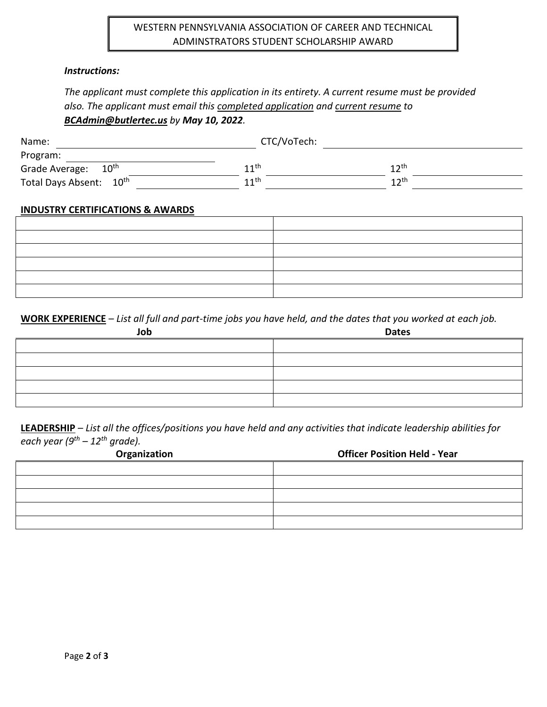### WESTERN PENNSYLVANIA ASSOCIATION OF CAREER AND TECHNICAL ADMINSTRATORS STUDENT SCHOLARSHIP AWARD

#### *Instructions:*

## *The applicant must complete this application in its entirety. A current resume must be provided also. The applicant must email this completed application and current resume to BCAdmin@butlertec.us by May 10, 2022.*

| Name:                               | CTC/VoTech:        |                  |  |
|-------------------------------------|--------------------|------------------|--|
| Program:                            |                    |                  |  |
| $10^{\sf th}$<br>Grade Average:     | 11th               | $12^{\text{th}}$ |  |
| Total Days Absent: 10 <sup>th</sup> | $11$ <sup>th</sup> | 12 <sup>th</sup> |  |

#### **INDUSTRY CERTIFICATIONS & AWARDS**

**WORK EXPERIENCE** – *List all full and part-time jobs you have held, and the dates that you worked at each job.*

| Job | <b>Dates</b> |
|-----|--------------|
|     |              |
|     |              |
|     |              |
|     |              |
|     |              |

**LEADERSHIP** – *List all the offices/positions you have held and any activities that indicate leadership abilities for each year (9th – 12th grade).*

| Organization | <b>Officer Position Held - Year</b> |
|--------------|-------------------------------------|
|              |                                     |
|              |                                     |
|              |                                     |
|              |                                     |
|              |                                     |